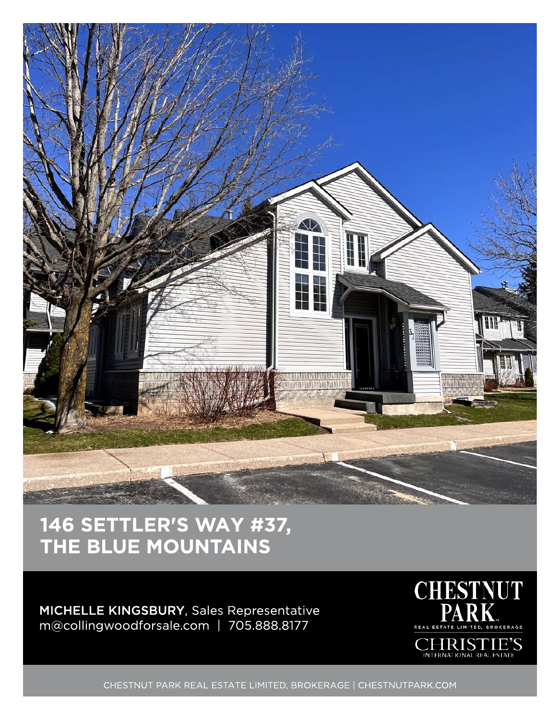

## 146 SETTLER'S WAY #37, THE BLUE MOUNTAINS

## MICHELLE KINGSBURY, Sales Representative m@collingwoodforsale.com | 705.888.8177



CHESTNUT PARK REAL ESTATE LIMITED, BROKERAGE | CHESTNUTPARK.COM